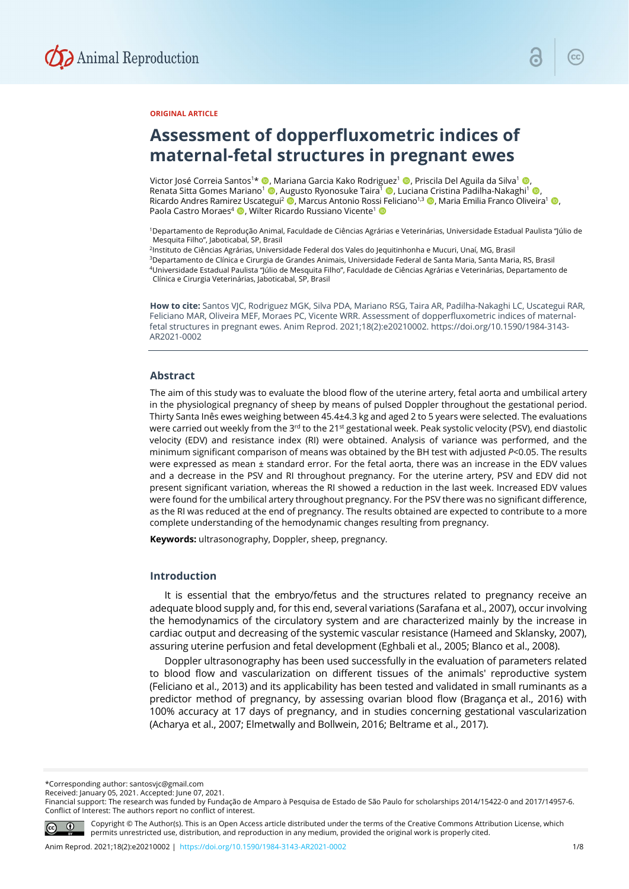

## **ORIGINAL ARTICLE**

# **Assessment of dopperfluxometric indices of maternal-fetal structures in pregnant ewes**

Victor José Correia Santos1 \* , Mariana Garcia Kako Rodriguez1 , Priscila Del Aguila da Silva1 , Renata Sitta Gomes Mariano<sup>1</sup> (D. Augusto Ryonosuke Taira<sup>1</sup> (D. Luciana Cristina Padilha-Nakaghi<sup>1</sup> (D. Ricardo Andres Ramirez Uscategui<sup>2</sup> (**D**, Marcus Antonio Rossi Feliciano<sup>1,3</sup> (**D**, Maria Emilia Franco Oliveira<sup>1</sup> (**D**, Paola Castro Moraes<sup>4</sup> **D**, Wilter Ricardo Russiano Vicente<sup>1</sup> D

1Departamento de Reprodução Animal, Faculdade de Ciências Agrárias e Veterinárias, Universidade Estadual Paulista "Júlio de Mesquita Filho", Jaboticabal, SP, Brasil

<sup>2</sup>Instituto de Ciências Agrárias, Universidade Federal dos Vales do Jequitinhonha e Mucuri, Unaí, MG, Brasil 3Departamento de Clínica e Cirurgia de Grandes Animais, Universidade Federal de Santa Maria, Santa Maria, RS, Brasil 4Universidade Estadual Paulista "Júlio de Mesquita Filho", Faculdade de Ciências Agrárias e Veterinárias, Departamento de Clínica e Cirurgia Veterinárias, Jaboticabal, SP, Brasil

**How to cite:** Santos VJC, Rodriguez MGK, Silva PDA, Mariano RSG, Taira AR, Padilha-Nakaghi LC, Uscategui RAR, Feliciano MAR, Oliveira MEF, Moraes PC, Vicente WRR. Assessment of dopperfluxometric indices of maternalfetal structures in pregnant ewes. Anim Reprod. 2021;18(2):e20210002. https://doi.org/10.1590/1984-3143- AR2021-0002

#### **Abstract**

The aim of this study was to evaluate the blood flow of the uterine artery, fetal aorta and umbilical artery in the physiological pregnancy of sheep by means of pulsed Doppler throughout the gestational period. Thirty Santa Inês ewes weighing between 45.4±4.3 kg and aged 2 to 5 years were selected. The evaluations were carried out weekly from the 3<sup>rd</sup> to the 21<sup>st</sup> gestational week. Peak systolic velocity (PSV), end diastolic velocity (EDV) and resistance index (RI) were obtained. Analysis of variance was performed, and the minimum significant comparison of means was obtained by the BH test with adjusted *P*<0.05. The results were expressed as mean ± standard error. For the fetal aorta, there was an increase in the EDV values and a decrease in the PSV and RI throughout pregnancy. For the uterine artery, PSV and EDV did not present significant variation, whereas the RI showed a reduction in the last week. Increased EDV values were found for the umbilical artery throughout pregnancy. For the PSV there was no significant difference, as the RI was reduced at the end of pregnancy. The results obtained are expected to contribute to a more complete understanding of the hemodynamic changes resulting from pregnancy.

**Keywords:** ultrasonography, Doppler, sheep, pregnancy.

## **Introduction**

It is essential that the embryo/fetus and the structures related to pregnancy receive an adequate blood supply and, for this end, several variations (Sarafana et al., 2007), occur involving the hemodynamics of the circulatory system and are characterized mainly by the increase in cardiac output and decreasing of the systemic vascular resistance (Hameed and Sklansky, 2007), assuring uterine perfusion and fetal development (Eghbali et al., 2005; Blanco et al., 2008).

Doppler ultrasonography has been used successfully in the evaluation of parameters related to blood flow and vascularization on different tissues of the animals' reproductive system (Feliciano et al., 2013) and its applicability has been tested and validated in small ruminants as a predictor method of pregnancy, by assessing ovarian blood flow (Bragança et al., 2016) with 100% accuracy at 17 days of pregnancy, and in studies concerning gestational vascularization (Acharya et al., 2007; Elmetwally and Bollwein, 2016; Beltrame et al., 2017).

\*Corresponding author: santosvjc@gmail.com

Received: January 05, 2021. Accepted: June 07, 2021.

Financial support: The research was funded by Fundação de Amparo à Pesquisa de Estado de São Paulo for scholarships 2014/15422-0 and 2017/14957-6. Conflict of Interest: The authors report no conflict of interest.



Copyright © The Author(s). This is an Open Access article distributed under the terms of the Creative Commons Attribution License, which permits unrestricted use, distribution, and reproduction in any medium, provided the original work is properly cited.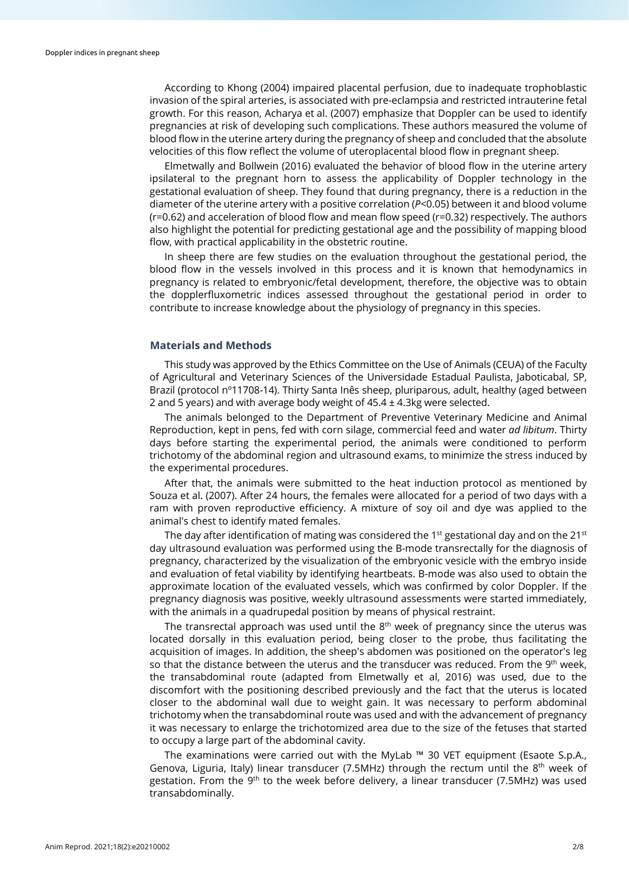According to Khong (2004) impaired placental perfusion, due to inadequate trophoblastic invasion of the spiral arteries, is associated with pre-eclampsia and restricted intrauterine fetal growth. For this reason, Acharya et al. (2007) emphasize that Doppler can be used to identify pregnancies at risk of developing such complications. These authors measured the volume of blood flow in the uterine artery during the pregnancy of sheep and concluded that the absolute velocities of this flow reflect the volume of uteroplacental blood flow in pregnant sheep.

Elmetwally and Bollwein (2016) evaluated the behavior of blood flow in the uterine artery ipsilateral to the pregnant horn to assess the applicability of Doppler technology in the gestational evaluation of sheep. They found that during pregnancy, there is a reduction in the diameter of the uterine artery with a positive correlation (*P*<0.05) between it and blood volume (r=0.62) and acceleration of blood flow and mean flow speed (r=0.32) respectively. The authors also highlight the potential for predicting gestational age and the possibility of mapping blood flow, with practical applicability in the obstetric routine.

In sheep there are few studies on the evaluation throughout the gestational period, the blood flow in the vessels involved in this process and it is known that hemodynamics in pregnancy is related to embryonic/fetal development, therefore, the objective was to obtain the dopplerfluxometric indices assessed throughout the gestational period in order to contribute to increase knowledge about the physiology of pregnancy in this species.

## **Materials and Methods**

This study was approved by the Ethics Committee on the Use of Animals (CEUA) of the Faculty of Agricultural and Veterinary Sciences of the Universidade Estadual Paulista, Jaboticabal, SP, Brazil (protocol nº11708-14). Thirty Santa Inês sheep, pluriparous, adult, healthy (aged between 2 and 5 years) and with average body weight of  $45.4 \pm 4.3$ kg were selected.

The animals belonged to the Department of Preventive Veterinary Medicine and Animal Reproduction, kept in pens, fed with corn silage, commercial feed and water *ad libitum*. Thirty days before starting the experimental period, the animals were conditioned to perform trichotomy of the abdominal region and ultrasound exams, to minimize the stress induced by the experimental procedures.

After that, the animals were submitted to the heat induction protocol as mentioned by Souza et al. (2007). After 24 hours, the females were allocated for a period of two days with a ram with proven reproductive efficiency. A mixture of soy oil and dye was applied to the animal's chest to identify mated females.

The day after identification of mating was considered the 1<sup>st</sup> gestational day and on the 21<sup>st</sup> day ultrasound evaluation was performed using the B-mode transrectally for the diagnosis of pregnancy, characterized by the visualization of the embryonic vesicle with the embryo inside and evaluation of fetal viability by identifying heartbeats. B-mode was also used to obtain the approximate location of the evaluated vessels, which was confirmed by color Doppler. If the pregnancy diagnosis was positive, weekly ultrasound assessments were started immediately, with the animals in a quadrupedal position by means of physical restraint.

The transrectal approach was used until the  $8<sup>th</sup>$  week of pregnancy since the uterus was located dorsally in this evaluation period, being closer to the probe, thus facilitating the acquisition of images. In addition, the sheep's abdomen was positioned on the operator's leg so that the distance between the uterus and the transducer was reduced. From the 9<sup>th</sup> week, the transabdominal route (adapted from Elmetwally et al, 2016) was used, due to the discomfort with the positioning described previously and the fact that the uterus is located closer to the abdominal wall due to weight gain. It was necessary to perform abdominal trichotomy when the transabdominal route was used and with the advancement of pregnancy it was necessary to enlarge the trichotomized area due to the size of the fetuses that started to occupy a large part of the abdominal cavity.

The examinations were carried out with the MyLab ™ 30 VET equipment (Esaote S.p.A., Genova, Liguria, Italy) linear transducer (7.5MHz) through the rectum until the  $8<sup>th</sup>$  week of gestation. From the 9<sup>th</sup> to the week before delivery, a linear transducer (7.5MHz) was used transabdominally.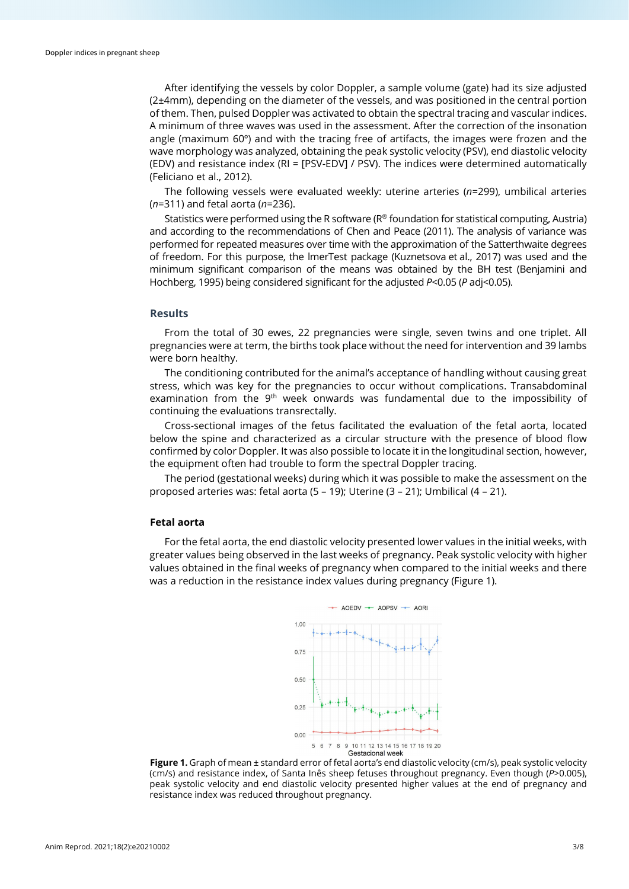After identifying the vessels by color Doppler, a sample volume (gate) had its size adjusted (2±4mm), depending on the diameter of the vessels, and was positioned in the central portion of them. Then, pulsed Doppler was activated to obtain the spectral tracing and vascular indices. A minimum of three waves was used in the assessment. After the correction of the insonation angle (maximum 60º) and with the tracing free of artifacts, the images were frozen and the wave morphology was analyzed, obtaining the peak systolic velocity (PSV), end diastolic velocity (EDV) and resistance index (RI = [PSV-EDV] / PSV). The indices were determined automatically (Feliciano et al., 2012).

The following vessels were evaluated weekly: uterine arteries (*n*=299), umbilical arteries (*n*=311) and fetal aorta (*n*=236).

Statistics were performed using the R software (R® foundation for statistical computing, Austria) and according to the recommendations of Chen and Peace (2011). The analysis of variance was performed for repeated measures over time with the approximation of the Satterthwaite degrees of freedom. For this purpose, the lmerTest package (Kuznetsova et al., 2017) was used and the minimum significant comparison of the means was obtained by the BH test (Benjamini and Hochberg, 1995) being considered significant for the adjusted *P*<0.05 (*P* adj<0.05).

#### **Results**

From the total of 30 ewes, 22 pregnancies were single, seven twins and one triplet. All pregnancies were at term, the births took place without the need for intervention and 39 lambs were born healthy.

The conditioning contributed for the animal's acceptance of handling without causing great stress, which was key for the pregnancies to occur without complications. Transabdominal examination from the 9<sup>th</sup> week onwards was fundamental due to the impossibility of continuing the evaluations transrectally.

Cross-sectional images of the fetus facilitated the evaluation of the fetal aorta, located below the spine and characterized as a circular structure with the presence of blood flow confirmed by color Doppler. It was also possible to locate it in the longitudinal section, however, the equipment often had trouble to form the spectral Doppler tracing.

The period (gestational weeks) during which it was possible to make the assessment on the proposed arteries was: fetal aorta (5 – 19); Uterine (3 – 21); Umbilical (4 – 21).

#### **Fetal aorta**

For the fetal aorta, the end diastolic velocity presented lower values in the initial weeks, with greater values being observed in the last weeks of pregnancy. Peak systolic velocity with higher values obtained in the final weeks of pregnancy when compared to the initial weeks and there was a reduction in the resistance index values during pregnancy (Figure 1).



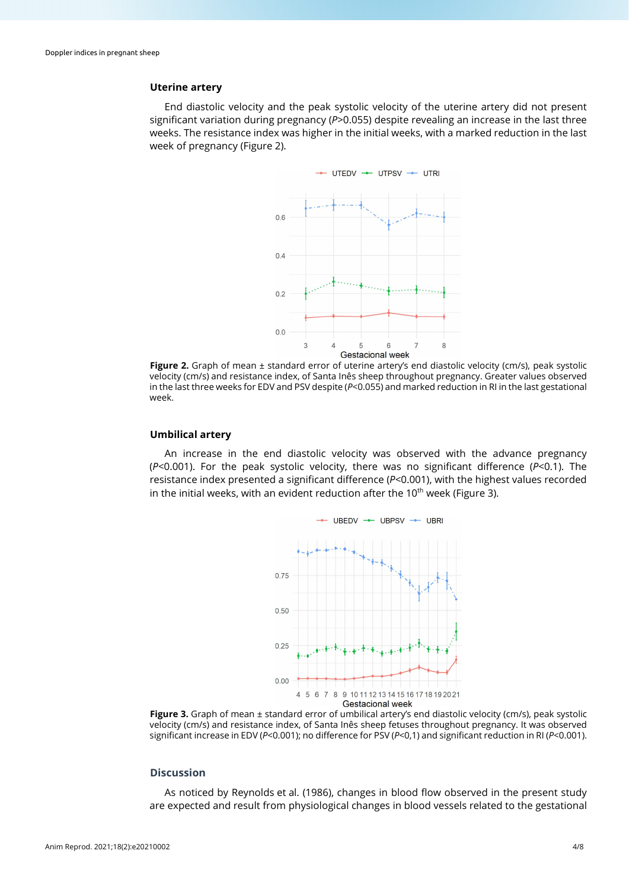## **Uterine artery**

End diastolic velocity and the peak systolic velocity of the uterine artery did not present significant variation during pregnancy (*P*>0.055) despite revealing an increase in the last three weeks. The resistance index was higher in the initial weeks, with a marked reduction in the last week of pregnancy (Figure 2).



**Figure 2.** Graph of mean ± standard error of uterine artery's end diastolic velocity (cm/s), peak systolic velocity (cm/s) and resistance index, of Santa Inês sheep throughout pregnancy. Greater values observed in the last three weeks for EDV and PSV despite (*P*<0.055) and marked reduction in RI in the last gestational week.

## **Umbilical artery**

An increase in the end diastolic velocity was observed with the advance pregnancy (*P*<0.001). For the peak systolic velocity, there was no significant difference (*P*<0.1). The resistance index presented a significant difference (*P*<0.001), with the highest values recorded in the initial weeks, with an evident reduction after the  $10<sup>th</sup>$  week (Figure 3).



**Figure 3.** Graph of mean ± standard error of umbilical artery's end diastolic velocity (cm/s), peak systolic velocity (cm/s) and resistance index, of Santa Inês sheep fetuses throughout pregnancy. It was observed significant increase in EDV (*P*<0.001); no difference for PSV (*P*<0,1) and significant reduction in RI (*P*<0.001).

## **Discussion**

As noticed by Reynolds et al. (1986), changes in blood flow observed in the present study are expected and result from physiological changes in blood vessels related to the gestational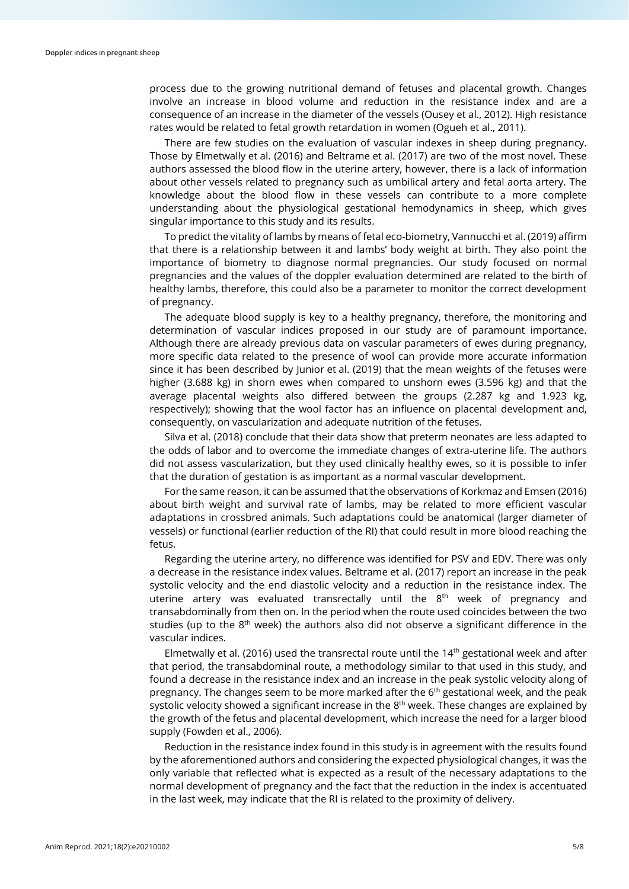process due to the growing nutritional demand of fetuses and placental growth. Changes involve an increase in blood volume and reduction in the resistance index and are a consequence of an increase in the diameter of the vessels (Ousey et al., 2012). High resistance rates would be related to fetal growth retardation in women (Ogueh et al., 2011).

There are few studies on the evaluation of vascular indexes in sheep during pregnancy. Those by Elmetwally et al. (2016) and Beltrame et al. (2017) are two of the most novel. These authors assessed the blood flow in the uterine artery, however, there is a lack of information about other vessels related to pregnancy such as umbilical artery and fetal aorta artery. The knowledge about the blood flow in these vessels can contribute to a more complete understanding about the physiological gestational hemodynamics in sheep, which gives singular importance to this study and its results.

To predict the vitality of lambs by means of fetal eco-biometry, Vannucchi et al. (2019) affirm that there is a relationship between it and lambs' body weight at birth. They also point the importance of biometry to diagnose normal pregnancies. Our study focused on normal pregnancies and the values of the doppler evaluation determined are related to the birth of healthy lambs, therefore, this could also be a parameter to monitor the correct development of pregnancy.

The adequate blood supply is key to a healthy pregnancy, therefore, the monitoring and determination of vascular indices proposed in our study are of paramount importance. Although there are already previous data on vascular parameters of ewes during pregnancy, more specific data related to the presence of wool can provide more accurate information since it has been described by Junior et al. (2019) that the mean weights of the fetuses were higher (3.688 kg) in shorn ewes when compared to unshorn ewes (3.596 kg) and that the average placental weights also differed between the groups (2.287 kg and 1.923 kg, respectively); showing that the wool factor has an influence on placental development and, consequently, on vascularization and adequate nutrition of the fetuses.

Silva et al. (2018) conclude that their data show that preterm neonates are less adapted to the odds of labor and to overcome the immediate changes of extra-uterine life. The authors did not assess vascularization, but they used clinically healthy ewes, so it is possible to infer that the duration of gestation is as important as a normal vascular development.

For the same reason, it can be assumed that the observations of Korkmaz and Emsen (2016) about birth weight and survival rate of lambs, may be related to more efficient vascular adaptations in crossbred animals. Such adaptations could be anatomical (larger diameter of vessels) or functional (earlier reduction of the RI) that could result in more blood reaching the fetus.

Regarding the uterine artery, no difference was identified for PSV and EDV. There was only a decrease in the resistance index values. Beltrame et al. (2017) report an increase in the peak systolic velocity and the end diastolic velocity and a reduction in the resistance index. The uterine artery was evaluated transrectally until the 8<sup>th</sup> week of pregnancy and transabdominally from then on. In the period when the route used coincides between the two studies (up to the 8<sup>th</sup> week) the authors also did not observe a significant difference in the vascular indices.

Elmetwally et al. (2016) used the transrectal route until the 14th gestational week and after that period, the transabdominal route, a methodology similar to that used in this study, and found a decrease in the resistance index and an increase in the peak systolic velocity along of pregnancy. The changes seem to be more marked after the  $6<sup>th</sup>$  gestational week, and the peak systolic velocity showed a significant increase in the  $8<sup>th</sup>$  week. These changes are explained by the growth of the fetus and placental development, which increase the need for a larger blood supply (Fowden et al., 2006).

Reduction in the resistance index found in this study is in agreement with the results found by the aforementioned authors and considering the expected physiological changes, it was the only variable that reflected what is expected as a result of the necessary adaptations to the normal development of pregnancy and the fact that the reduction in the index is accentuated in the last week, may indicate that the RI is related to the proximity of delivery.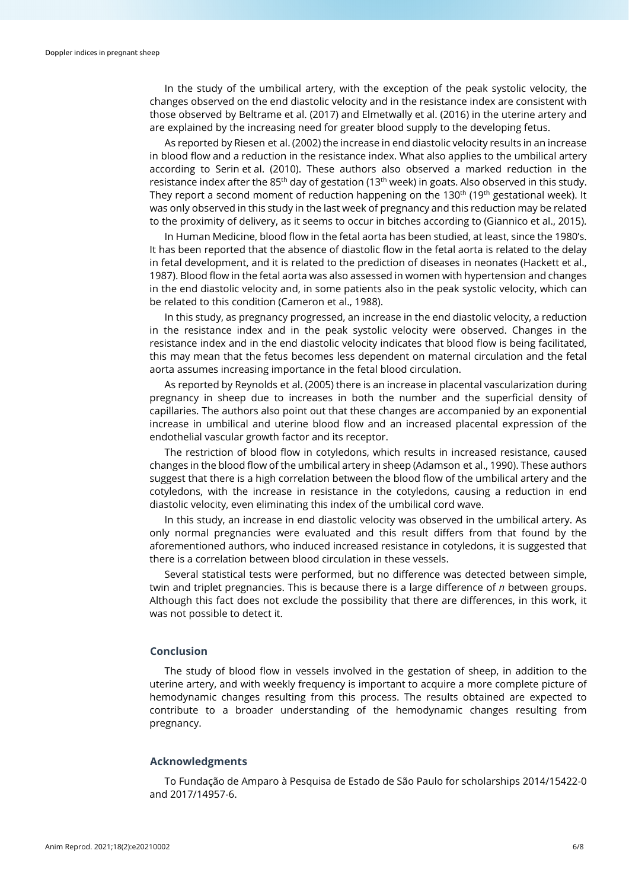In the study of the umbilical artery, with the exception of the peak systolic velocity, the changes observed on the end diastolic velocity and in the resistance index are consistent with those observed by Beltrame et al. (2017) and Elmetwally et al. (2016) in the uterine artery and are explained by the increasing need for greater blood supply to the developing fetus.

As reported by Riesen et al. (2002) the increase in end diastolic velocity results in an increase in blood flow and a reduction in the resistance index. What also applies to the umbilical artery according to Serin et al. (2010). These authors also observed a marked reduction in the resistance index after the 85<sup>th</sup> day of gestation (13<sup>th</sup> week) in goats. Also observed in this study. They report a second moment of reduction happening on the 130<sup>th</sup> (19<sup>th</sup> gestational week). It was only observed in this study in the last week of pregnancy and this reduction may be related to the proximity of delivery, as it seems to occur in bitches according to (Giannico et al., 2015).

In Human Medicine, blood flow in the fetal aorta has been studied, at least, since the 1980's. It has been reported that the absence of diastolic flow in the fetal aorta is related to the delay in fetal development, and it is related to the prediction of diseases in neonates (Hackett et al., 1987). Blood flow in the fetal aorta was also assessed in women with hypertension and changes in the end diastolic velocity and, in some patients also in the peak systolic velocity, which can be related to this condition (Cameron et al., 1988).

In this study, as pregnancy progressed, an increase in the end diastolic velocity, a reduction in the resistance index and in the peak systolic velocity were observed. Changes in the resistance index and in the end diastolic velocity indicates that blood flow is being facilitated, this may mean that the fetus becomes less dependent on maternal circulation and the fetal aorta assumes increasing importance in the fetal blood circulation.

As reported by Reynolds et al. (2005) there is an increase in placental vascularization during pregnancy in sheep due to increases in both the number and the superficial density of capillaries. The authors also point out that these changes are accompanied by an exponential increase in umbilical and uterine blood flow and an increased placental expression of the endothelial vascular growth factor and its receptor.

The restriction of blood flow in cotyledons, which results in increased resistance, caused changes in the blood flow of the umbilical artery in sheep (Adamson et al., 1990). These authors suggest that there is a high correlation between the blood flow of the umbilical artery and the cotyledons, with the increase in resistance in the cotyledons, causing a reduction in end diastolic velocity, even eliminating this index of the umbilical cord wave.

In this study, an increase in end diastolic velocity was observed in the umbilical artery. As only normal pregnancies were evaluated and this result differs from that found by the aforementioned authors, who induced increased resistance in cotyledons, it is suggested that there is a correlation between blood circulation in these vessels.

Several statistical tests were performed, but no difference was detected between simple, twin and triplet pregnancies. This is because there is a large difference of *n* between groups. Although this fact does not exclude the possibility that there are differences, in this work, it was not possible to detect it.

## **Conclusion**

The study of blood flow in vessels involved in the gestation of sheep, in addition to the uterine artery, and with weekly frequency is important to acquire a more complete picture of hemodynamic changes resulting from this process. The results obtained are expected to contribute to a broader understanding of the hemodynamic changes resulting from pregnancy.

## **Acknowledgments**

To Fundação de Amparo à Pesquisa de Estado de São Paulo for scholarships 2014/15422-0 and 2017/14957-6.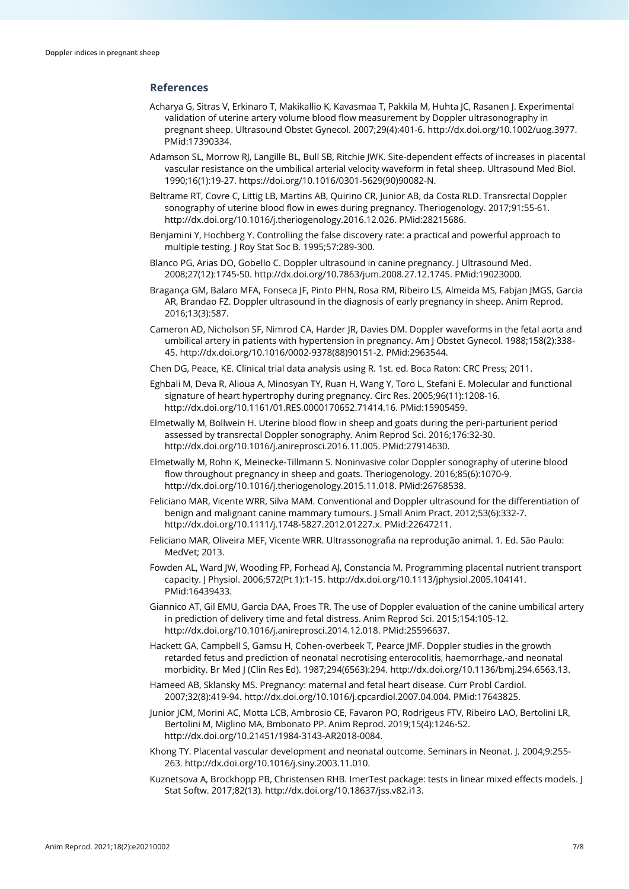## **References**

- Acharya G, Sitras V, Erkinaro T, Makikallio K, Kavasmaa T, Pakkila M, Huhta JC, Rasanen J. Experimental validation of uterine artery volume blood flow measurement by Doppler ultrasonography in pregnant sheep. Ultrasound Obstet Gynecol. 2007;29(4):401-6. [http://dx.doi.org/10.1002/uog.3977](https://doi.org/10.1002/uog.3977)[.](https://www.ncbi.nlm.nih.gov/entrez/query.fcgi?cmd=Retrieve&db=PubMed&list_uids=17390334&dopt=Abstract) [PMid:17390334.](https://www.ncbi.nlm.nih.gov/entrez/query.fcgi?cmd=Retrieve&db=PubMed&list_uids=17390334&dopt=Abstract)
- Adamson SL, Morrow RJ, Langille BL, Bull SB, Ritchie JWK. Site-dependent effects of increases in placental vascular resistance on the umbilical arterial velocity waveform in fetal sheep. Ultrasound Med Biol. 1990;16(1):19-27. https://doi.org/10.1016/0301-5629(90)90082-N.
- Beltrame RT, Covre C, Littig LB, Martins AB, Quirino CR, Junior AB, da Costa RLD. Transrectal Doppler sonography of uterine blood flow in ewes during pregnancy. Theriogenology. 2017;91:55-61. [http://dx.doi.org/10.1016/j.theriogenology.2016.12.026.](https://doi.org/10.1016/j.theriogenology.2016.12.026) [PMid:28215686.](https://www.ncbi.nlm.nih.gov/entrez/query.fcgi?cmd=Retrieve&db=PubMed&list_uids=28215686&dopt=Abstract)
- Benjamini Y, Hochberg Y. Controlling the false discovery rate: a practical and powerful approach to multiple testing. J Roy Stat Soc B. 1995;57:289-300.
- Blanco PG, Arias DO, Gobello C. Doppler ultrasound in canine pregnancy. J Ultrasound Med. 2008;27(12):1745-50. [http://dx.doi.org/10.7863/jum.2008.27.12.1745.](https://doi.org/10.7863/jum.2008.27.12.1745) [PMid:19023000.](https://www.ncbi.nlm.nih.gov/entrez/query.fcgi?cmd=Retrieve&db=PubMed&list_uids=19023000&dopt=Abstract)
- Bragança GM, Balaro MFA, Fonseca JF, Pinto PHN, Rosa RM, Ribeiro LS, Almeida MS, Fabjan JMGS, Garcia AR, Brandao FZ. Doppler ultrasound in the diagnosis of early pregnancy in sheep. Anim Reprod. 2016;13(3):587.
- Cameron AD, Nicholson SF, Nimrod CA, Harder JR, Davies DM. Doppler waveforms in the fetal aorta and umbilical artery in patients with hypertension in pregnancy. Am J Obstet Gynecol. 1988;158(2):338- 45[. http://dx.doi.org/10.1016/0002-9378\(88\)90151-2.](https://doi.org/10.1016/0002-9378(88)90151-2) [PMid:2963544.](https://www.ncbi.nlm.nih.gov/entrez/query.fcgi?cmd=Retrieve&db=PubMed&list_uids=2963544&dopt=Abstract)
- Chen DG, Peace, KE. Clinical trial data analysis using R. 1st. ed. Boca Raton: CRC Press; 2011.
- Eghbali M, Deva R, Alioua A, Minosyan TY, Ruan H, Wang Y, Toro L, Stefani E. Molecular and functional signature of heart hypertrophy during pregnancy. Circ Res. 2005;96(11):1208-16. [http://dx.doi.org/10.1161/01.RES.0000170652.71414.16.](https://doi.org/10.1161/01.RES.0000170652.71414.16) [PMid:15905459.](https://www.ncbi.nlm.nih.gov/entrez/query.fcgi?cmd=Retrieve&db=PubMed&list_uids=15905459&dopt=Abstract)
- Elmetwally M, Bollwein H. Uterine blood flow in sheep and goats during the peri-parturient period assessed by transrectal Doppler sonography. Anim Reprod Sci. 2016;176:32-30. [http://dx.doi.org/10.1016/j.anireprosci.2016.11.005.](https://doi.org/10.1016/j.anireprosci.2016.11.005) [PMid:27914630.](https://www.ncbi.nlm.nih.gov/entrez/query.fcgi?cmd=Retrieve&db=PubMed&list_uids=27914630&dopt=Abstract)
- Elmetwally M, Rohn K, Meinecke-Tillmann S. Noninvasive color Doppler sonography of uterine blood flow throughout pregnancy in sheep and goats. Theriogenology. 2016;85(6):1070-9. [http://dx.doi.org/10.1016/j.theriogenology.2015.11.018.](https://doi.org/10.1016/j.theriogenology.2015.11.018) [PMid:26768538.](https://www.ncbi.nlm.nih.gov/entrez/query.fcgi?cmd=Retrieve&db=PubMed&list_uids=26768538&dopt=Abstract)
- Feliciano MAR, Vicente WRR, Silva MAM. Conventional and Doppler ultrasound for the differentiation of benign and malignant canine mammary tumours. J Small Anim Pract. 2012;53(6):332-7. [http://dx.doi.org/10.1111/j.1748-5827.2012.01227.x.](https://doi.org/10.1111/j.1748-5827.2012.01227.x) [PMid:22647211.](https://www.ncbi.nlm.nih.gov/entrez/query.fcgi?cmd=Retrieve&db=PubMed&list_uids=22647211&dopt=Abstract)
- Feliciano MAR, Oliveira MEF, Vicente WRR. Ultrassonografia na reprodução animal. 1. Ed. São Paulo: MedVet; 2013.
- Fowden AL, Ward JW, Wooding FP, Forhead AJ, Constancia M. Programming placental nutrient transport capacity. J Physiol. 2006;572(Pt 1):1-15[. http://dx.doi.org/10.1113/jphysiol.2005.104141](https://doi.org/10.1113/jphysiol.2005.104141)[.](https://www.ncbi.nlm.nih.gov/entrez/query.fcgi?cmd=Retrieve&db=PubMed&list_uids=16439433&dopt=Abstract) [PMid:16439433.](https://www.ncbi.nlm.nih.gov/entrez/query.fcgi?cmd=Retrieve&db=PubMed&list_uids=16439433&dopt=Abstract)
- Giannico AT, Gil EMU, Garcia DAA, Froes TR. The use of Doppler evaluation of the canine umbilical artery in prediction of delivery time and fetal distress. Anim Reprod Sci. 2015;154:105-12. [http://dx.doi.org/10.1016/j.anireprosci.2014.12.018.](https://doi.org/10.1016/j.anireprosci.2014.12.018) [PMid:25596637.](https://www.ncbi.nlm.nih.gov/entrez/query.fcgi?cmd=Retrieve&db=PubMed&list_uids=25596637&dopt=Abstract)
- Hackett GA, Campbell S, Gamsu H, Cohen-overbeek T, Pearce JMF. Doppler studies in the growth retarded fetus and prediction of neonatal necrotising enterocolitis, haemorrhage,-and neonatal morbidity. Br Med J (Clin Res Ed). 1987;294(6563):294[. http://dx.doi.org/10.1136/bmj.294.6563.13.](https://doi.org/10.1136/bmj.294.6563.13)
- Hameed AB, Sklansky MS. Pregnancy: maternal and fetal heart disease. Curr Probl Cardiol. 2007;32(8):419-94. [http://dx.doi.org/10.1016/j.cpcardiol.2007.04.004.](https://doi.org/10.1016/j.cpcardiol.2007.04.004) [PMid:17643825.](https://www.ncbi.nlm.nih.gov/entrez/query.fcgi?cmd=Retrieve&db=PubMed&list_uids=17643825&dopt=Abstract)
- Junior JCM, Morini AC, Motta LCB, Ambrosio CE, Favaron PO, Rodrigeus FTV, Ribeiro LAO, Bertolini LR, Bertolini M, Miglino MA, Bmbonato PP. Anim Reprod. 2019;15(4):1246-52. http://dx.doi.org/10.21451/1984-3143-AR2018-0084.
- Khong TY. Placental vascular development and neonatal outcome. Seminars in Neonat. J. 2004;9:255- 263. [http://dx.doi.org/10.1016/j.siny.2003.11.010.](https://doi.org/10.1016/j.siny.2003.11.010)
- Kuznetsova A, Brockhopp PB, Christensen RHB. ImerTest package: tests in linear mixed effects models. J Stat Softw. 2017;82(13). http://dx.doi.org/10.18637/jss.v82.i13.